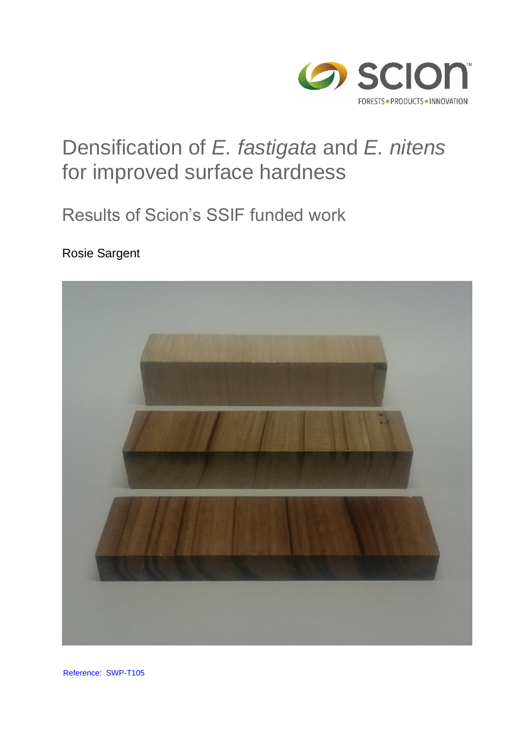

# Densification of *E. fastigata* and *E. nitens* for improved surface hardness

## Results of Scion's SSIF funded work

#### Rosie Sargent



Reference: SWP-T105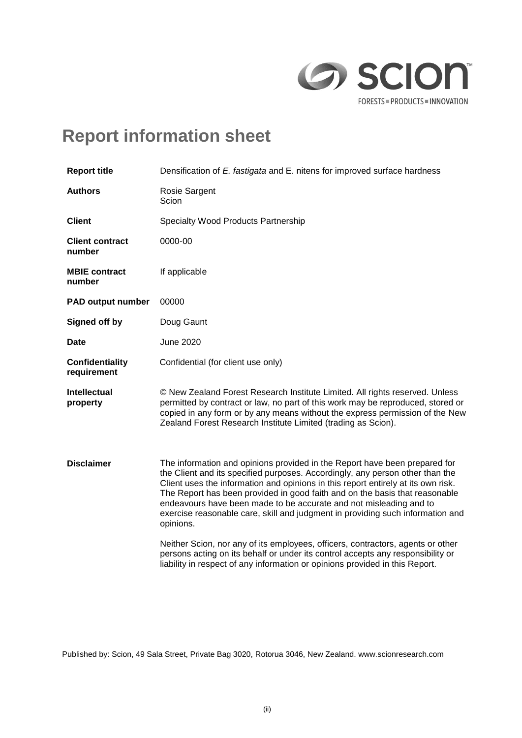

## **Report information sheet**

| <b>Report title</b>                   | Densification of E. fastigata and E. nitens for improved surface hardness                                                                                                                                                                                                                                                                                                                                                                                                                            |  |  |  |
|---------------------------------------|------------------------------------------------------------------------------------------------------------------------------------------------------------------------------------------------------------------------------------------------------------------------------------------------------------------------------------------------------------------------------------------------------------------------------------------------------------------------------------------------------|--|--|--|
| <b>Authors</b>                        | Rosie Sargent<br>Scion                                                                                                                                                                                                                                                                                                                                                                                                                                                                               |  |  |  |
| <b>Client</b>                         | <b>Specialty Wood Products Partnership</b>                                                                                                                                                                                                                                                                                                                                                                                                                                                           |  |  |  |
| <b>Client contract</b><br>number      | 0000-00                                                                                                                                                                                                                                                                                                                                                                                                                                                                                              |  |  |  |
| <b>MBIE contract</b><br>number        | If applicable                                                                                                                                                                                                                                                                                                                                                                                                                                                                                        |  |  |  |
| <b>PAD output number</b>              | 00000                                                                                                                                                                                                                                                                                                                                                                                                                                                                                                |  |  |  |
| <b>Signed off by</b>                  | Doug Gaunt                                                                                                                                                                                                                                                                                                                                                                                                                                                                                           |  |  |  |
| <b>Date</b>                           | <b>June 2020</b>                                                                                                                                                                                                                                                                                                                                                                                                                                                                                     |  |  |  |
| <b>Confidentiality</b><br>requirement | Confidential (for client use only)                                                                                                                                                                                                                                                                                                                                                                                                                                                                   |  |  |  |
| <b>Intellectual</b><br>property       | © New Zealand Forest Research Institute Limited. All rights reserved. Unless<br>permitted by contract or law, no part of this work may be reproduced, stored or<br>copied in any form or by any means without the express permission of the New<br>Zealand Forest Research Institute Limited (trading as Scion).                                                                                                                                                                                     |  |  |  |
| <b>Disclaimer</b>                     | The information and opinions provided in the Report have been prepared for<br>the Client and its specified purposes. Accordingly, any person other than the<br>Client uses the information and opinions in this report entirely at its own risk.<br>The Report has been provided in good faith and on the basis that reasonable<br>endeavours have been made to be accurate and not misleading and to<br>exercise reasonable care, skill and judgment in providing such information and<br>opinions. |  |  |  |
|                                       | Neither Scion, nor any of its employees, officers, contractors, agents or other<br>persons acting on its behalf or under its control accepts any responsibility or<br>liability in respect of any information or opinions provided in this Report.                                                                                                                                                                                                                                                   |  |  |  |
|                                       |                                                                                                                                                                                                                                                                                                                                                                                                                                                                                                      |  |  |  |

Published by: Scion, 49 Sala Street, Private Bag 3020, Rotorua 3046, New Zealand. www.scionresearch.com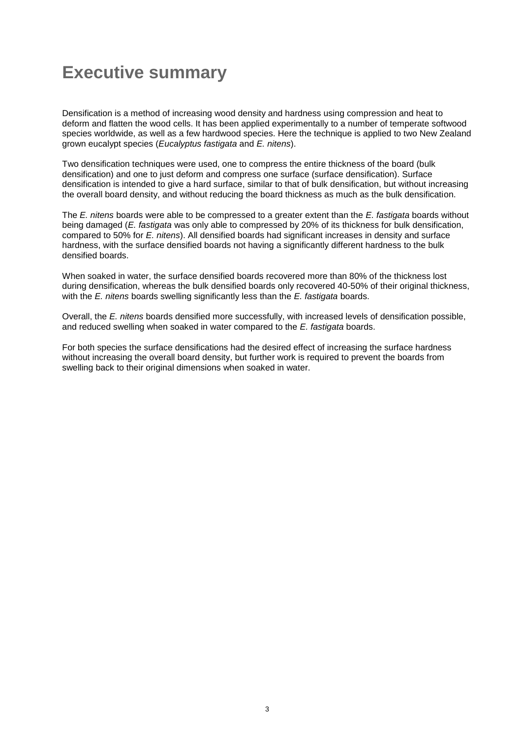### <span id="page-2-0"></span>**Executive summary**

Densification is a method of increasing wood density and hardness using compression and heat to deform and flatten the wood cells. It has been applied experimentally to a number of temperate softwood species worldwide, as well as a few hardwood species. Here the technique is applied to two New Zealand grown eucalypt species (*Eucalyptus fastigata* and *E. nitens*).

Two densification techniques were used, one to compress the entire thickness of the board (bulk densification) and one to just deform and compress one surface (surface densification). Surface densification is intended to give a hard surface, similar to that of bulk densification, but without increasing the overall board density, and without reducing the board thickness as much as the bulk densification.

The *E. nitens* boards were able to be compressed to a greater extent than the *E. fastigata* boards without being damaged (*E. fastigata* was only able to compressed by 20% of its thickness for bulk densification, compared to 50% for *E. nitens*). All densified boards had significant increases in density and surface hardness, with the surface densified boards not having a significantly different hardness to the bulk densified boards.

When soaked in water, the surface densified boards recovered more than 80% of the thickness lost during densification, whereas the bulk densified boards only recovered 40-50% of their original thickness, with the *E. nitens* boards swelling significantly less than the *E. fastigata* boards.

Overall, the *E. nitens* boards densified more successfully, with increased levels of densification possible, and reduced swelling when soaked in water compared to the *E. fastigata* boards.

For both species the surface densifications had the desired effect of increasing the surface hardness without increasing the overall board density, but further work is required to prevent the boards from swelling back to their original dimensions when soaked in water.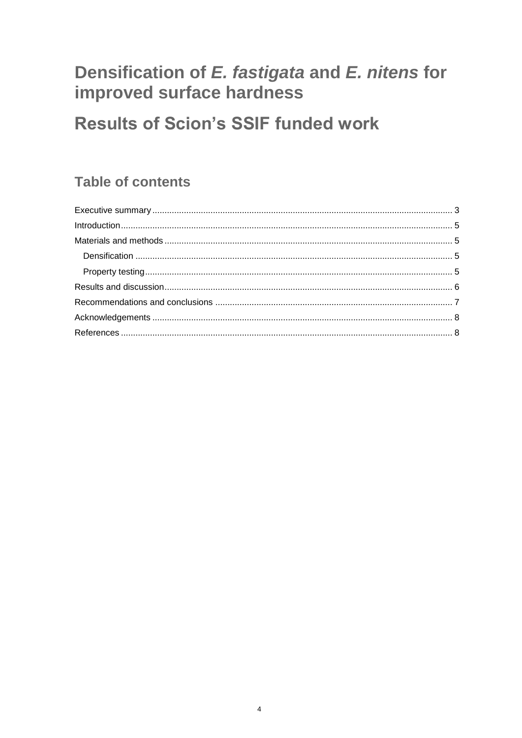### Densification of E. fastigata and E. nitens for improved surface hardness

## **Results of Scion's SSIF funded work**

#### **Table of contents**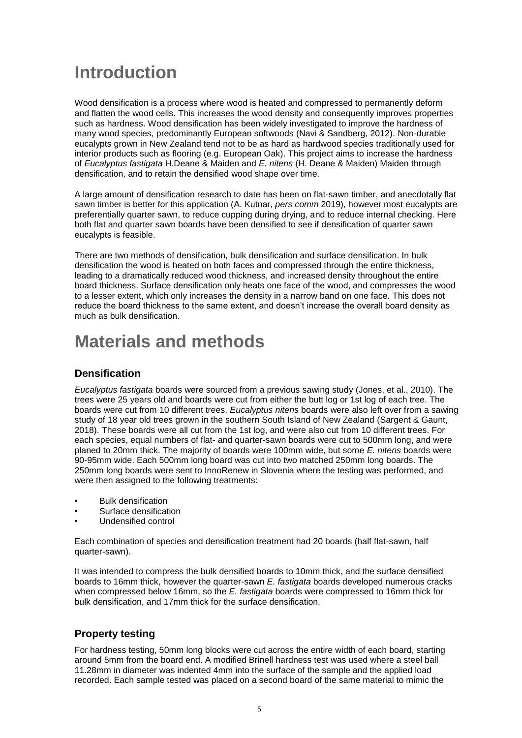### <span id="page-4-0"></span>**Introduction**

Wood densification is a process where wood is heated and compressed to permanently deform and flatten the wood cells. This increases the wood density and consequently improves properties such as hardness. Wood densification has been widely investigated to improve the hardness of many wood species, predominantly European softwoods (Navi & Sandberg, 2012). Non-durable eucalypts grown in New Zealand tend not to be as hard as hardwood species traditionally used for interior products such as flooring (e.g. European Oak). This project aims to increase the hardness of *Eucalyptus fastigata* H.Deane & Maiden and *E. nitens* (H. Deane & Maiden) Maiden through densification, and to retain the densified wood shape over time.

A large amount of densification research to date has been on flat-sawn timber, and anecdotally flat sawn timber is better for this application (A. Kutnar, *pers comm* 2019), however most eucalypts are preferentially quarter sawn, to reduce cupping during drying, and to reduce internal checking. Here both flat and quarter sawn boards have been densified to see if densification of quarter sawn eucalypts is feasible.

There are two methods of densification, bulk densification and surface densification. In bulk densification the wood is heated on both faces and compressed through the entire thickness, leading to a dramatically reduced wood thickness, and increased density throughout the entire board thickness. Surface densification only heats one face of the wood, and compresses the wood to a lesser extent, which only increases the density in a narrow band on one face. This does not reduce the board thickness to the same extent, and doesn't increase the overall board density as much as bulk densification.

### <span id="page-4-1"></span>**Materials and methods**

#### <span id="page-4-2"></span>**Densification**

*Eucalyptus fastigata* boards were sourced from a previous sawing study (Jones, et al., 2010). The trees were 25 years old and boards were cut from either the butt log or 1st log of each tree. The boards were cut from 10 different trees. *Eucalyptus nitens* boards were also left over from a sawing study of 18 year old trees grown in the southern South Island of New Zealand (Sargent & Gaunt, 2018). These boards were all cut from the 1st log, and were also cut from 10 different trees. For each species, equal numbers of flat- and quarter-sawn boards were cut to 500mm long, and were planed to 20mm thick. The majority of boards were 100mm wide, but some *E. nitens* boards were 90-95mm wide. Each 500mm long board was cut into two matched 250mm long boards. The 250mm long boards were sent to InnoRenew in Slovenia where the testing was performed, and were then assigned to the following treatments:

- Bulk densification
- Surface densification
- Undensified control

Each combination of species and densification treatment had 20 boards (half flat-sawn, half quarter-sawn).

It was intended to compress the bulk densified boards to 10mm thick, and the surface densified boards to 16mm thick, however the quarter-sawn *E. fastigata* boards developed numerous cracks when compressed below 16mm, so the *E. fastigata* boards were compressed to 16mm thick for bulk densification, and 17mm thick for the surface densification.

#### <span id="page-4-3"></span>**Property testing**

For hardness testing, 50mm long blocks were cut across the entire width of each board, starting around 5mm from the board end. A modified Brinell hardness test was used where a steel ball 11.28mm in diameter was indented 4mm into the surface of the sample and the applied load recorded. Each sample tested was placed on a second board of the same material to mimic the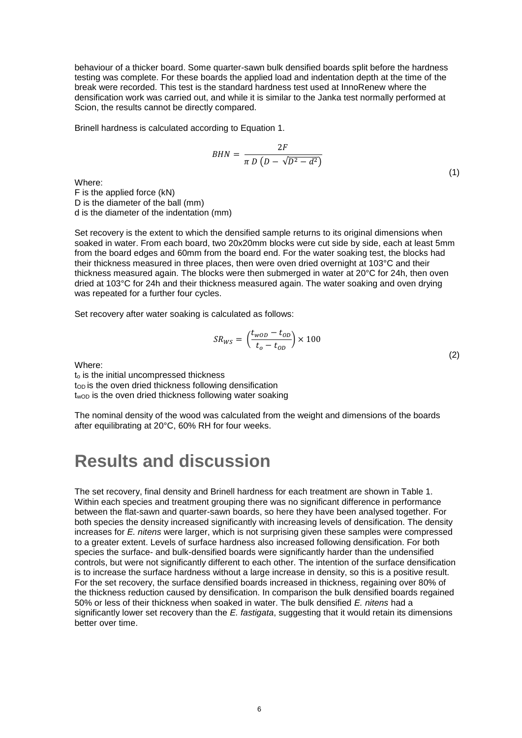behaviour of a thicker board. Some quarter-sawn bulk densified boards split before the hardness testing was complete. For these boards the applied load and indentation depth at the time of the break were recorded. This test is the standard hardness test used at InnoRenew where the densification work was carried out, and while it is similar to the Janka test normally performed at Scion, the results cannot be directly compared.

Brinell hardness is calculated according to Equation 1.

$$
BHN = \frac{2F}{\pi D \left( D - \sqrt{D^2 - d^2} \right)}\tag{1}
$$

Where:

F is the applied force (kN) D is the diameter of the ball (mm) d is the diameter of the indentation (mm)

Set recovery is the extent to which the densified sample returns to its original dimensions when soaked in water. From each board, two 20x20mm blocks were cut side by side, each at least 5mm from the board edges and 60mm from the board end. For the water soaking test, the blocks had their thickness measured in three places, then were oven dried overnight at 103°C and their thickness measured again. The blocks were then submerged in water at 20°C for 24h, then oven dried at 103°C for 24h and their thickness measured again. The water soaking and oven drying was repeated for a further four cycles.

Set recovery after water soaking is calculated as follows:

$$
SR_{WS} = \left(\frac{t_{wOD} - t_{OD}}{t_o - t_{OD}}\right) \times 100\tag{2}
$$

Where:

t<sub>o</sub> is the initial uncompressed thickness top is the oven dried thickness following densification t<sub>wOD</sub> is the oven dried thickness following water soaking

The nominal density of the wood was calculated from the weight and dimensions of the boards after equilibrating at 20°C, 60% RH for four weeks.

#### <span id="page-5-0"></span>**Results and discussion**

The set recovery, final density and Brinell hardness for each treatment are shown in Table 1. Within each species and treatment grouping there was no significant difference in performance between the flat-sawn and quarter-sawn boards, so here they have been analysed together. For both species the density increased significantly with increasing levels of densification. The density increases for *E. nitens* were larger, which is not surprising given these samples were compressed to a greater extent. Levels of surface hardness also increased following densification. For both species the surface- and bulk-densified boards were significantly harder than the undensified controls, but were not significantly different to each other. The intention of the surface densification is to increase the surface hardness without a large increase in density, so this is a positive result. For the set recovery, the surface densified boards increased in thickness, regaining over 80% of the thickness reduction caused by densification. In comparison the bulk densified boards regained 50% or less of their thickness when soaked in water. The bulk densified *E. nitens* had a significantly lower set recovery than the *E. fastigata*, suggesting that it would retain its dimensions better over time.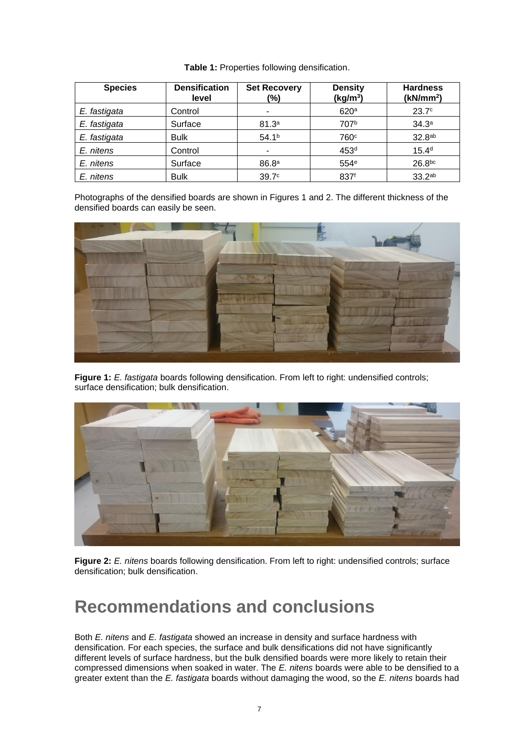| <b>Species</b> | <b>Densification</b><br>level | <b>Set Recovery</b><br>(%) | <b>Density</b><br>(kg/m <sup>3</sup> ) | <b>Hardness</b><br>(kN/mm <sup>2</sup> ) |
|----------------|-------------------------------|----------------------------|----------------------------------------|------------------------------------------|
| E. fastigata   | Control                       | $\overline{\phantom{a}}$   | 620 <sup>a</sup>                       | 23.7 <sup>c</sup>                        |
| E. fastigata   | Surface                       | 81.3 <sup>a</sup>          | 707 <sup>b</sup>                       | 34.3 <sup>a</sup>                        |
| E. fastigata   | <b>Bulk</b>                   | 54.1 <sup>b</sup>          | 760 <sup>c</sup>                       | 32.8 <sup>ab</sup>                       |
| E. nitens      | Control                       | ٠                          | 453 <sup>d</sup>                       | 15.4 <sup>d</sup>                        |
| E. nitens      | Surface                       | 86.8 <sup>a</sup>          | 554e                                   | 26.8 <sub>bc</sub>                       |
| E. nitens      | <b>Bulk</b>                   | 39.7 <sup>c</sup>          | 837 <sup>f</sup>                       | 33.2ab                                   |

**Table 1:** Properties following densification.

Photographs of the densified boards are shown in Figures 1 and 2. The different thickness of the densified boards can easily be seen.



**Figure 1:** *E. fastigata* boards following densification. From left to right: undensified controls; surface densification; bulk densification.



**Figure 2:** *E. nitens* boards following densification. From left to right: undensified controls; surface densification; bulk densification.

#### <span id="page-6-0"></span>**Recommendations and conclusions**

Both *E. nitens* and *E. fastigata* showed an increase in density and surface hardness with densification. For each species, the surface and bulk densifications did not have significantly different levels of surface hardness, but the bulk densified boards were more likely to retain their compressed dimensions when soaked in water. The *E. nitens* boards were able to be densified to a greater extent than the *E. fastigata* boards without damaging the wood, so the *E. nitens* boards had